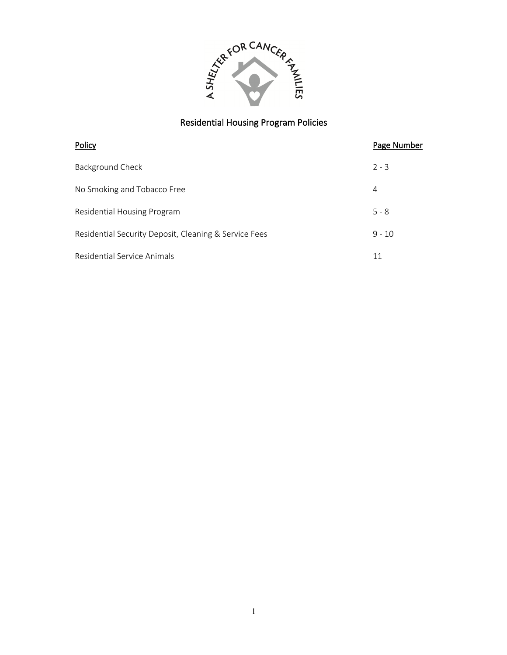

| Policy                                                | Page Number |
|-------------------------------------------------------|-------------|
| Background Check                                      | $2 - 3$     |
| No Smoking and Tobacco Free                           | 4           |
| Residential Housing Program                           | $5 - 8$     |
| Residential Security Deposit, Cleaning & Service Fees | $9 - 10$    |
| Residential Service Animals                           | 11          |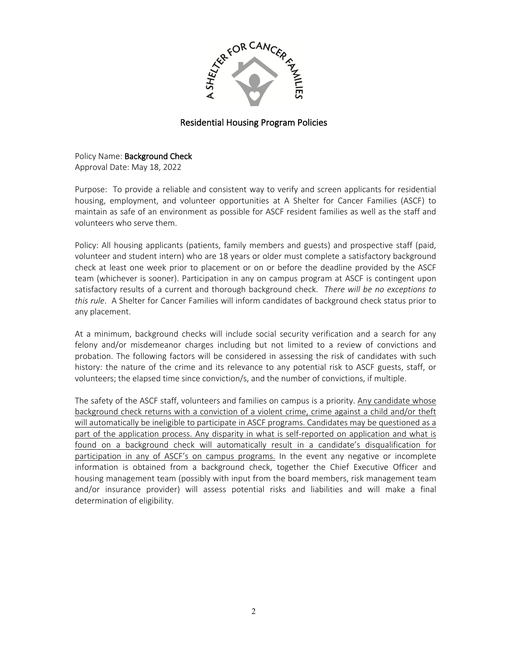

Policy Name: Background Check Approval Date: May 18, 2022

Purpose: To provide a reliable and consistent way to verify and screen applicants for residential housing, employment, and volunteer opportunities at A Shelter for Cancer Families (ASCF) to maintain as safe of an environment as possible for ASCF resident families as well as the staff and volunteers who serve them.

Policy: All housing applicants (patients, family members and guests) and prospective staff (paid, volunteer and student intern) who are 18 years or older must complete a satisfactory background check at least one week prior to placement or on or before the deadline provided by the ASCF team (whichever is sooner). Participation in any on campus program at ASCF is contingent upon satisfactory results of a current and thorough background check. *There will be no exceptions to this rule*. A Shelter for Cancer Families will inform candidates of background check status prior to any placement.

At a minimum, background checks will include social security verification and a search for any felony and/or misdemeanor charges including but not limited to a review of convictions and probation. The following factors will be considered in assessing the risk of candidates with such history: the nature of the crime and its relevance to any potential risk to ASCF guests, staff, or volunteers; the elapsed time since conviction/s, and the number of convictions, if multiple.

The safety of the ASCF staff, volunteers and families on campus is a priority. Any candidate whose background check returns with a conviction of a violent crime, crime against a child and/or theft will automatically be ineligible to participate in ASCF programs. Candidates may be questioned as a part of the application process. Any disparity in what is self-reported on application and what is found on a background check will automatically result in a candidate's disqualification for participation in any of ASCF's on campus programs. In the event any negative or incomplete information is obtained from a background check, together the Chief Executive Officer and housing management team (possibly with input from the board members, risk management team and/or insurance provider) will assess potential risks and liabilities and will make a final determination of eligibility.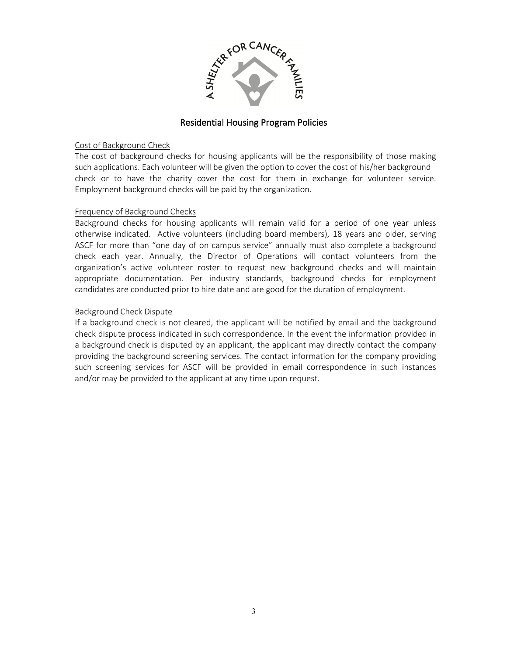

#### Cost of Background Check

The cost of background checks for housing applicants will be the responsibility of those making such applications. Each volunteer will be given the option to cover the cost of his/her background check or to have the charity cover the cost for them in exchange for volunteer service. Employment background checks will be paid by the organization.

#### Frequency of Background Checks

Background checks for housing applicants will remain valid for a period of one year unless otherwise indicated. Active volunteers (including board members), 18 years and older, serving ASCF for more than "one day of on campus service" annually must also complete a background check each year. Annually, the Director of Operations will contact volunteers from the organization's active volunteer roster to request new background checks and will maintain appropriate documentation. Per industry standards, background checks for employment candidates are conducted prior to hire date and are good for the duration of employment.

### Background Check Dispute

If a background check is not cleared, the applicant will be notified by email and the background check dispute process indicated in such correspondence. In the event the information provided in a background check is disputed by an applicant, the applicant may directly contact the company providing the background screening services. The contact information for the company providing such screening services for ASCF will be provided in email correspondence in such instances and/or may be provided to the applicant at any time upon request.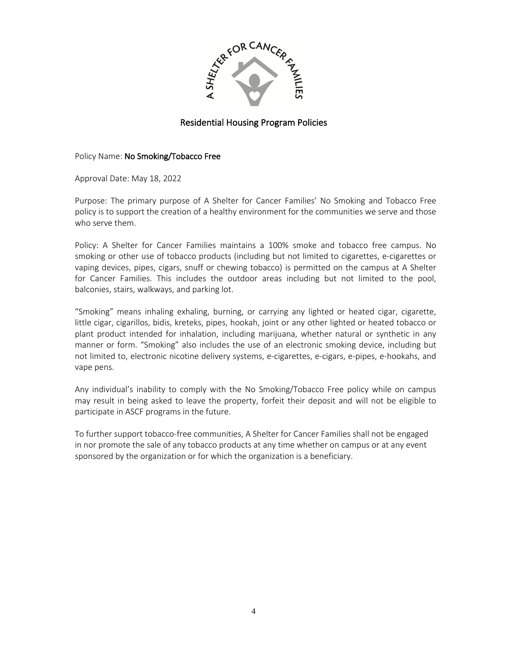

#### Policy Name: No Smoking/Tobacco Free

Approval Date: May 18, 2022

Purpose: The primary purpose of A Shelter for Cancer Families' No Smoking and Tobacco Free policy is to support the creation of a healthy environment for the communities we serve and those who serve them.

Policy: A Shelter for Cancer Families maintains a 100% smoke and tobacco free campus. No smoking or other use of tobacco products (including but not limited to cigarettes, e-cigarettes or vaping devices, pipes, cigars, snuff or chewing tobacco) is permitted on the campus at A Shelter for Cancer Families. This includes the outdoor areas including but not limited to the pool, balconies, stairs, walkways, and parking lot.

"Smoking" means inhaling exhaling, burning, or carrying any lighted or heated cigar, cigarette, little cigar, cigarillos, bidis, kreteks, pipes, hookah, joint or any other lighted or heated tobacco or plant product intended for inhalation, including marijuana, whether natural or synthetic in any manner or form. "Smoking" also includes the use of an electronic smoking device, including but not limited to, electronic nicotine delivery systems, e-cigarettes, e-cigars, e-pipes, e-hookahs, and vape pens.

Any individual's inability to comply with the No Smoking/Tobacco Free policy while on campus may result in being asked to leave the property, forfeit their deposit and will not be eligible to participate in ASCF programs in the future.

To further support tobacco-free communities, A Shelter for Cancer Families shall not be engaged in nor promote the sale of any tobacco products at any time whether on campus or at any event sponsored by the organization or for which the organization is a beneficiary.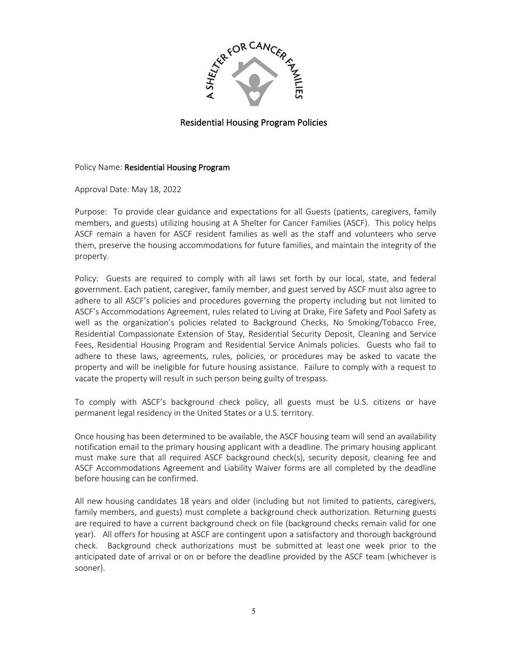

#### Policy Name: Residential Housing Program

Approval Date: May 18, 2022

Purpose: To provide clear guidance and expectations for all Guests (patients, caregivers, family members, and guests) utilizing housing at A Shelter for Cancer Families (ASCF). This policy helps ASCF remain a haven for ASCF resident families as well as the staff and volunteers who serve them, preserve the housing accommodations for future families, and maintain the integrity of the property.

Policy: Guests are required to comply with all laws set forth by our local, state, and federal government. Each patient, caregiver, family member, and guest served by ASCF must also agree to adhere to all ASCF's policies and procedures governing the property including but not limited to ASCF's Accommodations Agreement, rules related to Living at Drake, Fire Safety and Pool Safety as well as the organization's policies related to Background Checks, No Smoking/Tobacco Free, Residential Compassionate Extension of Stay, Residential Security Deposit, Cleaning and Service Fees, Residential Housing Program and Residential Service Animals policies. Guests who fail to adhere to these laws, agreements, rules, policies, or procedures may be asked to vacate the property and will be ineligible for future housing assistance. Failure to comply with a request to vacate the property will result in such person being guilty of trespass.

To comply with ASCF's background check policy, all guests must be U.S. citizens or have permanent legal residency in the United States or a U.S. territory.

Once housing has been determined to be available, the ASCF housing team will send an availability notification email to the primary housing applicant with a deadline. The primary housing applicant must make sure that all required ASCF background check(s), security deposit, cleaning fee and ASCF Accommodations Agreement and Liability Waiver forms are all completed by the deadline before housing can be confirmed.

All new housing candidates 18 years and older (including but not limited to patients, caregivers, family members, and guests) must complete a background check authorization. Returning guests are required to have a current background check on file (background checks remain valid for one year). All offers for housing at ASCF are contingent upon a satisfactory and thorough background check. Background check authorizations must be submitted at least one week prior to the anticipated date of arrival or on or before the deadline provided by the ASCF team (whichever is sooner).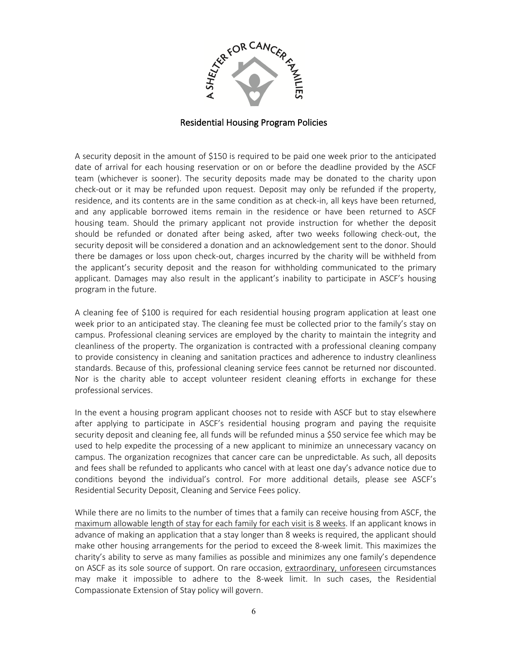

A security deposit in the amount of \$150 is required to be paid one week prior to the anticipated date of arrival for each housing reservation or on or before the deadline provided by the ASCF team (whichever is sooner). The security deposits made may be donated to the charity upon check-out or it may be refunded upon request. Deposit may only be refunded if the property, residence, and its contents are in the same condition as at check-in, all keys have been returned, and any applicable borrowed items remain in the residence or have been returned to ASCF housing team. Should the primary applicant not provide instruction for whether the deposit should be refunded or donated after being asked, after two weeks following check-out, the security deposit will be considered a donation and an acknowledgement sent to the donor. Should there be damages or loss upon check-out, charges incurred by the charity will be withheld from the applicant's security deposit and the reason for withholding communicated to the primary applicant. Damages may also result in the applicant's inability to participate in ASCF's housing program in the future.

A cleaning fee of \$100 is required for each residential housing program application at least one week prior to an anticipated stay. The cleaning fee must be collected prior to the family's stay on campus. Professional cleaning services are employed by the charity to maintain the integrity and cleanliness of the property. The organization is contracted with a professional cleaning company to provide consistency in cleaning and sanitation practices and adherence to industry cleanliness standards. Because of this, professional cleaning service fees cannot be returned nor discounted. Nor is the charity able to accept volunteer resident cleaning efforts in exchange for these professional services.

In the event a housing program applicant chooses not to reside with ASCF but to stay elsewhere after applying to participate in ASCF's residential housing program and paying the requisite security deposit and cleaning fee, all funds will be refunded minus a \$50 service fee which may be used to help expedite the processing of a new applicant to minimize an unnecessary vacancy on campus. The organization recognizes that cancer care can be unpredictable. As such, all deposits and fees shall be refunded to applicants who cancel with at least one day's advance notice due to conditions beyond the individual's control. For more additional details, please see ASCF's Residential Security Deposit, Cleaning and Service Fees policy.

While there are no limits to the number of times that a family can receive housing from ASCF, the maximum allowable length of stay for each family for each visit is 8 weeks. If an applicant knows in advance of making an application that a stay longer than 8 weeks is required, the applicant should make other housing arrangements for the period to exceed the 8-week limit. This maximizes the charity's ability to serve as many families as possible and minimizes any one family's dependence on ASCF as its sole source of support. On rare occasion, extraordinary, unforeseen circumstances may make it impossible to adhere to the 8-week limit. In such cases, the Residential Compassionate Extension of Stay policy will govern.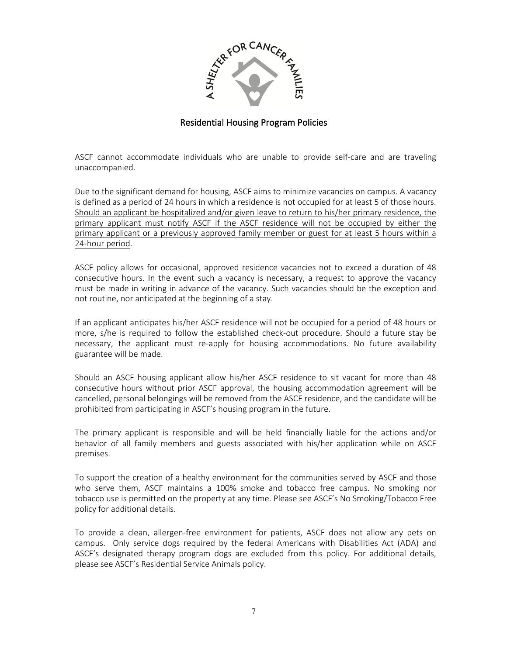

ASCF cannot accommodate individuals who are unable to provide self-care and are traveling unaccompanied.

Due to the significant demand for housing, ASCF aims to minimize vacancies on campus. A vacancy is defined as a period of 24 hours in which a residence is not occupied for at least 5 of those hours. Should an applicant be hospitalized and/or given leave to return to his/her primary residence, the primary applicant must notify ASCF if the ASCF residence will not be occupied by either the primary applicant or a previously approved family member or guest for at least 5 hours within a 24-hour period.

ASCF policy allows for occasional, approved residence vacancies not to exceed a duration of 48 consecutive hours. In the event such a vacancy is necessary, a request to approve the vacancy must be made in writing in advance of the vacancy. Such vacancies should be the exception and not routine, nor anticipated at the beginning of a stay.

If an applicant anticipates his/her ASCF residence will not be occupied for a period of 48 hours or more, s/he is required to follow the established check-out procedure. Should a future stay be necessary, the applicant must re-apply for housing accommodations. No future availability guarantee will be made.

Should an ASCF housing applicant allow his/her ASCF residence to sit vacant for more than 48 consecutive hours without prior ASCF approval, the housing accommodation agreement will be cancelled, personal belongings will be removed from the ASCF residence, and the candidate will be prohibited from participating in ASCF's housing program in the future.

The primary applicant is responsible and will be held financially liable for the actions and/or behavior of all family members and guests associated with his/her application while on ASCF premises.

To support the creation of a healthy environment for the communities served by ASCF and those who serve them, ASCF maintains a 100% smoke and tobacco free campus. No smoking nor tobacco use is permitted on the property at any time. Please see ASCF's No Smoking/Tobacco Free policy for additional details.

To provide a clean, allergen-free environment for patients, ASCF does not allow any pets on campus. Only service dogs required by the federal Americans with Disabilities Act (ADA) and ASCF's designated therapy program dogs are excluded from this policy. For additional details, please see ASCF's Residential Service Animals policy.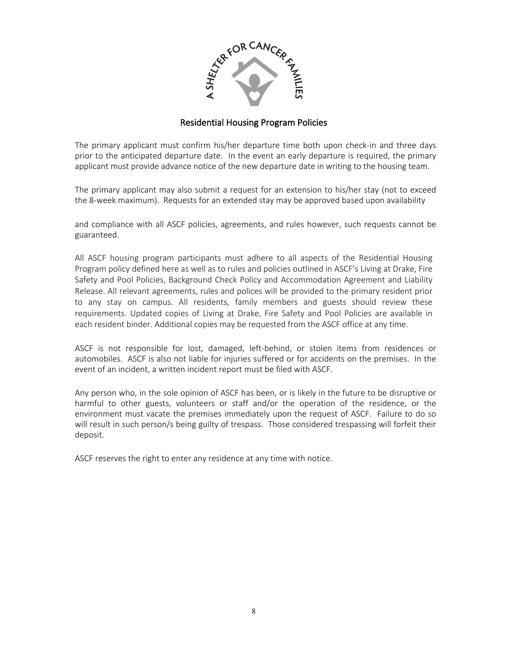

The primary applicant must confirm his/her departure time both upon check-in and three days prior to the anticipated departure date. In the event an early departure is required, the primary applicant must provide advance notice of the new departure date in writing to the housing team.

The primary applicant may also submit a request for an extension to his/her stay (not to exceed the 8-week maximum). Requests for an extended stay may be approved based upon availability

and compliance with all ASCF policies, agreements, and rules however, such requests cannot be guaranteed.

All ASCF housing program participants must adhere to all aspects of the Residential Housing Program policy defined here as well as to rules and policies outlined in ASCF's Living at Drake, Fire Safety and Pool Policies, Background Check Policy and Accommodation Agreement and Liability Release. All relevant agreements, rules and polices will be provided to the primary resident prior to any stay on campus. All residents, family members and guests should review these requirements. Updated copies of Living at Drake, Fire Safety and Pool Policies are available in each resident binder. Additional copies may be requested from the ASCF office at any time.

ASCF is not responsible for lost, damaged, left-behind, or stolen items from residences or automobiles. ASCF is also not liable for injuries suffered or for accidents on the premises. In the event of an incident, a written incident report must be filed with ASCF.

Any person who, in the sole opinion of ASCF has been, or is likely in the future to be disruptive or harmful to other guests, volunteers or staff and/or the operation of the residence, or the environment must vacate the premises immediately upon the request of ASCF. Failure to do so will result in such person/s being guilty of trespass. Those considered trespassing will forfeit their deposit.

ASCF reserves the right to enter any residence at any time with notice.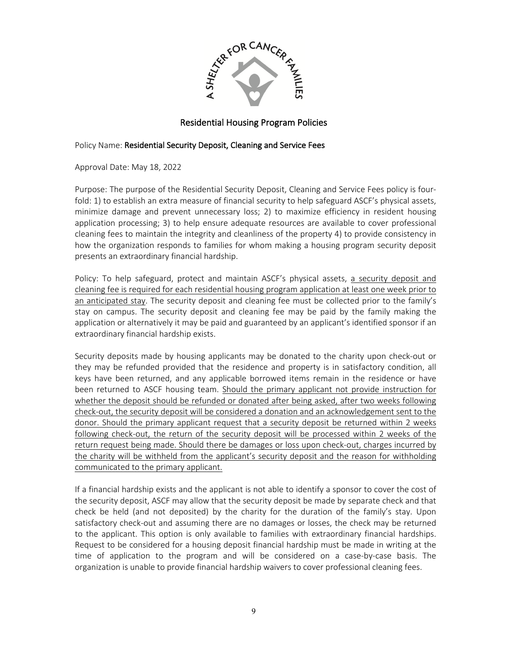

### Policy Name: Residential Security Deposit, Cleaning and Service Fees

Approval Date: May 18, 2022

Purpose: The purpose of the Residential Security Deposit, Cleaning and Service Fees policy is fourfold: 1) to establish an extra measure of financial security to help safeguard ASCF's physical assets, minimize damage and prevent unnecessary loss; 2) to maximize efficiency in resident housing application processing; 3) to help ensure adequate resources are available to cover professional cleaning fees to maintain the integrity and cleanliness of the property 4) to provide consistency in how the organization responds to families for whom making a housing program security deposit presents an extraordinary financial hardship.

Policy: To help safeguard, protect and maintain ASCF's physical assets, a security deposit and cleaning fee is required for each residential housing program application at least one week prior to an anticipated stay. The security deposit and cleaning fee must be collected prior to the family's stay on campus. The security deposit and cleaning fee may be paid by the family making the application or alternatively it may be paid and guaranteed by an applicant's identified sponsor if an extraordinary financial hardship exists.

Security deposits made by housing applicants may be donated to the charity upon check-out or they may be refunded provided that the residence and property is in satisfactory condition, all keys have been returned, and any applicable borrowed items remain in the residence or have been returned to ASCF housing team. Should the primary applicant not provide instruction for whether the deposit should be refunded or donated after being asked, after two weeks following check-out, the security deposit will be considered a donation and an acknowledgement sent to the donor. Should the primary applicant request that a security deposit be returned within 2 weeks following check-out, the return of the security deposit will be processed within 2 weeks of the return request being made. Should there be damages or loss upon check-out, charges incurred by the charity will be withheld from the applicant's security deposit and the reason for withholding communicated to the primary applicant.

If a financial hardship exists and the applicant is not able to identify a sponsor to cover the cost of the security deposit, ASCF may allow that the security deposit be made by separate check and that check be held (and not deposited) by the charity for the duration of the family's stay. Upon satisfactory check-out and assuming there are no damages or losses, the check may be returned to the applicant. This option is only available to families with extraordinary financial hardships. Request to be considered for a housing deposit financial hardship must be made in writing at the time of application to the program and will be considered on a case-by-case basis. The organization is unable to provide financial hardship waivers to cover professional cleaning fees.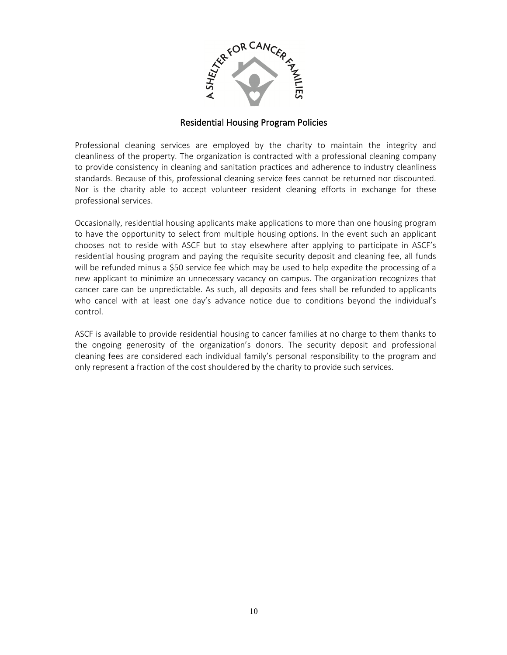

Professional cleaning services are employed by the charity to maintain the integrity and cleanliness of the property. The organization is contracted with a professional cleaning company to provide consistency in cleaning and sanitation practices and adherence to industry cleanliness standards. Because of this, professional cleaning service fees cannot be returned nor discounted. Nor is the charity able to accept volunteer resident cleaning efforts in exchange for these professional services.

Occasionally, residential housing applicants make applications to more than one housing program to have the opportunity to select from multiple housing options. In the event such an applicant chooses not to reside with ASCF but to stay elsewhere after applying to participate in ASCF's residential housing program and paying the requisite security deposit and cleaning fee, all funds will be refunded minus a \$50 service fee which may be used to help expedite the processing of a new applicant to minimize an unnecessary vacancy on campus. The organization recognizes that cancer care can be unpredictable. As such, all deposits and fees shall be refunded to applicants who cancel with at least one day's advance notice due to conditions beyond the individual's control.

ASCF is available to provide residential housing to cancer families at no charge to them thanks to the ongoing generosity of the organization's donors. The security deposit and professional cleaning fees are considered each individual family's personal responsibility to the program and only represent a fraction of the cost shouldered by the charity to provide such services.